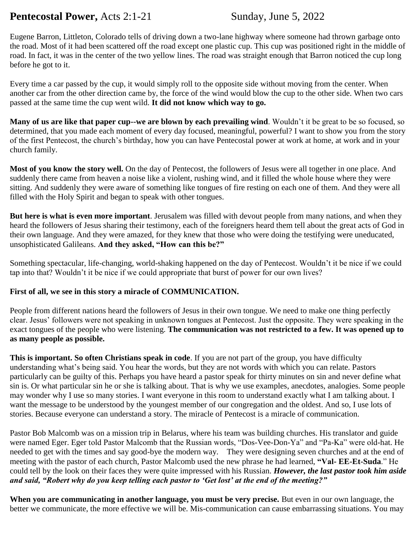# **Pentecostal Power,** Acts 2:1-21 Sunday, June 5, 2022

Eugene Barron, Littleton, Colorado tells of driving down a two-lane highway where someone had thrown garbage onto the road. Most of it had been scattered off the road except one plastic cup. This cup was positioned right in the middle of road. In fact, it was in the center of the two yellow lines. The road was straight enough that Barron noticed the cup long before he got to it.

Every time a car passed by the cup, it would simply roll to the opposite side without moving from the center. When another car from the other direction came by, the force of the wind would blow the cup to the other side. When two cars passed at the same time the cup went wild. **It did not know which way to go.** 

**Many of us are like that paper cup--we are blown by each prevailing wind**. Wouldn't it be great to be so focused, so determined, that you made each moment of every day focused, meaningful, powerful? I want to show you from the story of the first Pentecost, the church's birthday, how you can have Pentecostal power at work at home, at work and in your church family.

**Most of you know the story well.** On the day of Pentecost, the followers of Jesus were all together in one place. And suddenly there came from heaven a noise like a violent, rushing wind, and it filled the whole house where they were sitting. And suddenly they were aware of something like tongues of fire resting on each one of them. And they were all filled with the Holy Spirit and began to speak with other tongues.

**But here is what is even more important**. Jerusalem was filled with devout people from many nations, and when they heard the followers of Jesus sharing their testimony, each of the foreigners heard them tell about the great acts of God in their own language. And they were amazed, for they knew that those who were doing the testifying were uneducated, unsophisticated Galileans. **And they asked, "How can this be?"**

Something spectacular, life-changing, world-shaking happened on the day of Pentecost. Wouldn't it be nice if we could tap into that? Wouldn't it be nice if we could appropriate that burst of power for our own lives?

### **First of all, we see in this story a miracle of COMMUNICATION.**

People from different nations heard the followers of Jesus in their own tongue. We need to make one thing perfectly clear. Jesus' followers were not speaking in unknown tongues at Pentecost. Just the opposite. They were speaking in the exact tongues of the people who were listening. **The communication was not restricted to a few. It was opened up to as many people as possible.**

**This is important. So often Christians speak in code**. If you are not part of the group, you have difficulty understanding what's being said. You hear the words, but they are not words with which you can relate. Pastors particularly can be guilty of this. Perhaps you have heard a pastor speak for thirty minutes on sin and never define what sin is. Or what particular sin he or she is talking about. That is why we use examples, anecdotes, analogies. Some people may wonder why I use so many stories. I want everyone in this room to understand exactly what I am talking about. I want the message to be understood by the youngest member of our congregation and the oldest. And so, I use lots of stories. Because everyone can understand a story. The miracle of Pentecost is a miracle of communication.

Pastor Bob Malcomb was on a mission trip in Belarus, where his team was building churches. His translator and guide were named Eger. Eger told Pastor Malcomb that the Russian words, "Dos-Vee-Don-Ya" and "Pa-Ka" were old-hat. He needed to get with the times and say good-bye the modern way. They were designing seven churches and at the end of meeting with the pastor of each church, Pastor Malcomb used the new phrase he had learned, **"Val- EE-Et-Suda**." He could tell by the look on their faces they were quite impressed with his Russian. *However, the last pastor took him aside and said, "Robert why do you keep telling each pastor to 'Get lost' at the end of the meeting?"*

**When you are communicating in another language, you must be very precise.** But even in our own language, the better we communicate, the more effective we will be. Mis-communication can cause embarrassing situations. You may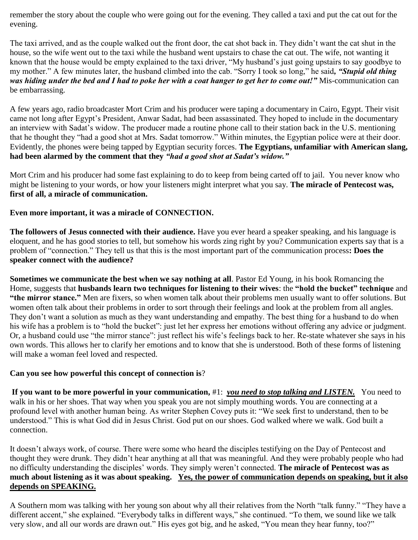remember the story about the couple who were going out for the evening. They called a taxi and put the cat out for the evening.

The taxi arrived, and as the couple walked out the front door, the cat shot back in. They didn't want the cat shut in the house, so the wife went out to the taxi while the husband went upstairs to chase the cat out. The wife, not wanting it known that the house would be empty explained to the taxi driver, "My husband's just going upstairs to say goodbye to my mother." A few minutes later, the husband climbed into the cab. "Sorry I took so long," he said*, "Stupid old thing was hiding under the bed and I had to poke her with a coat hanger to get her to come out!"* Mis-communication can be embarrassing.

A few years ago, radio broadcaster Mort Crim and his producer were taping a documentary in Cairo, Egypt. Their visit came not long after Egypt's President, Anwar Sadat, had been assassinated. They hoped to include in the documentary an interview with Sadat's widow. The producer made a routine phone call to their station back in the U.S. mentioning that he thought they "had a good shot at Mrs. Sadat tomorrow." Within minutes, the Egyptian police were at their door. Evidently, the phones were being tapped by Egyptian security forces. **The Egyptians, unfamiliar with American slang, had been alarmed by the comment that they** *"had a good shot at Sadat's widow."*

Mort Crim and his producer had some fast explaining to do to keep from being carted off to jail. You never know who might be listening to your words, or how your listeners might interpret what you say. **The miracle of Pentecost was, first of all, a miracle of communication.**

### **Even more important, it was a miracle of CONNECTION.**

**The followers of Jesus connected with their audience.** Have you ever heard a speaker speaking, and his language is eloquent, and he has good stories to tell, but somehow his words zing right by you? Communication experts say that is a problem of "connection." They tell us that this is the most important part of the communication process**: Does the speaker connect with the audience?**

**Sometimes we communicate the best when we say nothing at all**. Pastor Ed Young, in his book Romancing the Home, suggests that **husbands learn two techniques for listening to their wives**: the **"hold the bucket" technique** and **"the mirror stance."** Men are fixers, so when women talk about their problems men usually want to offer solutions. But women often talk about their problems in order to sort through their feelings and look at the problem from all angles. They don't want a solution as much as they want understanding and empathy. The best thing for a husband to do when his wife has a problem is to "hold the bucket": just let her express her emotions without offering any advice or judgment. Or, a husband could use "the mirror stance": just reflect his wife's feelings back to her. Re-state whatever she says in his own words. This allows her to clarify her emotions and to know that she is understood. Both of these forms of listening will make a woman feel loved and respected.

### **Can you see how powerful this concept of connection is**?

**If you want to be more powerful in your communication,** #1: *you need to stop talking and LISTEN.* You need to walk in his or her shoes. That way when you speak you are not simply mouthing words. You are connecting at a profound level with another human being. As writer Stephen Covey puts it: "We seek first to understand, then to be understood." This is what God did in Jesus Christ. God put on our shoes. God walked where we walk. God built a connection.

It doesn't always work, of course. There were some who heard the disciples testifying on the Day of Pentecost and thought they were drunk. They didn't hear anything at all that was meaningful. And they were probably people who had no difficulty understanding the disciples' words. They simply weren't connected. **The miracle of Pentecost was as much about listening as it was about speaking. Yes, the power of communication depends on speaking, but it also depends on SPEAKING.** 

A Southern mom was talking with her young son about why all their relatives from the North "talk funny." "They have a different accent," she explained. "Everybody talks in different ways," she continued. "To them, we sound like we talk very slow, and all our words are drawn out." His eyes got big, and he asked, "You mean they hear funny, too?"